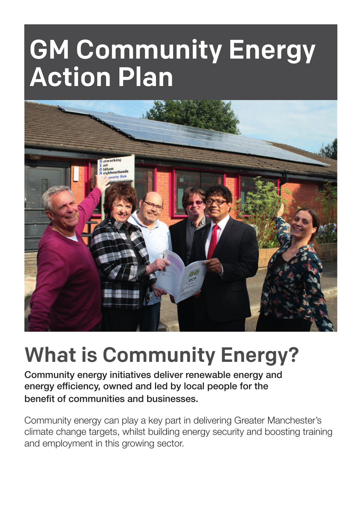# GM Community Energy Action Plan



## What is Community Energy?

Community energy initiatives deliver renewable energy and energy efficiency, owned and led by local people for the benefit of communities and businesses.

Community energy can play a key part in delivering Greater Manchester's climate change targets, whilst building energy security and boosting training and employment in this growing sector.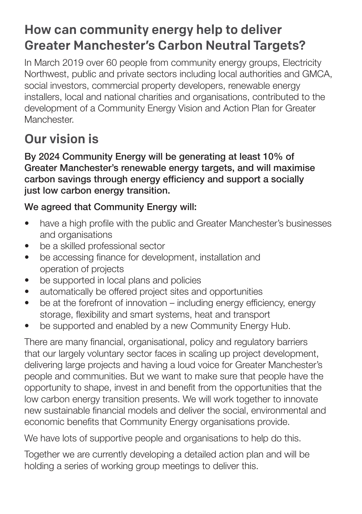#### How can community energy help to deliver Greater Manchester's Carbon Neutral Targets?

In March 2019 over 60 people from community energy groups, Electricity Northwest, public and private sectors including local authorities and GMCA, social investors, commercial property developers, renewable energy installers, local and national charities and organisations, contributed to the development of a Community Energy Vision and Action Plan for Greater Manchester.

## Our vision is

By 2024 Community Energy will be generating at least 10% of Greater Manchester's renewable energy targets, and will maximise carbon savings through energy efficiency and support a socially just low carbon energy transition.

#### We agreed that Community Energy will:

- have a high profile with the public and Greater Manchester's businesses and organisations
- be a skilled professional sector
- be accessing finance for development, installation and operation of projects
- be supported in local plans and policies
- automatically be offered project sites and opportunities
- be at the forefront of innovation including energy efficiency, energy storage, flexibility and smart systems, heat and transport
- be supported and enabled by a new Community Energy Hub.

There are many financial, organisational, policy and regulatory barriers that our largely voluntary sector faces in scaling up project development, delivering large projects and having a loud voice for Greater Manchester's people and communities. But we want to make sure that people have the opportunity to shape, invest in and benefit from the opportunities that the low carbon energy transition presents. We will work together to innovate new sustainable financial models and deliver the social, environmental and economic benefits that Community Energy organisations provide.

We have lots of supportive people and organisations to help do this.

Together we are currently developing a detailed action plan and will be holding a series of working group meetings to deliver this.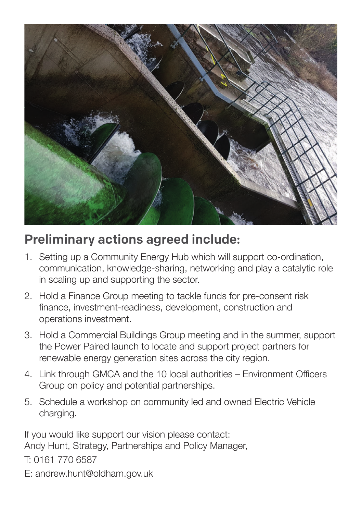

#### Preliminary actions agreed include:

- 1. Setting up a Community Energy Hub which will support co-ordination, communication, knowledge-sharing, networking and play a catalytic role in scaling up and supporting the sector.
- 2. Hold a Finance Group meeting to tackle funds for pre-consent risk finance, investment-readiness, development, construction and operations investment.
- 3. Hold a Commercial Buildings Group meeting and in the summer, support the Power Paired launch to locate and support project partners for renewable energy generation sites across the city region.
- 4. Link through GMCA and the 10 local authorities Environment Officers Group on policy and potential partnerships.
- 5. Schedule a workshop on community led and owned Electric Vehicle charging.

If you would like support our vision please contact: Andy Hunt, Strategy, Partnerships and Policy Manager, T: 0161 770 6587

E: andrew.hunt@oldham.gov.uk